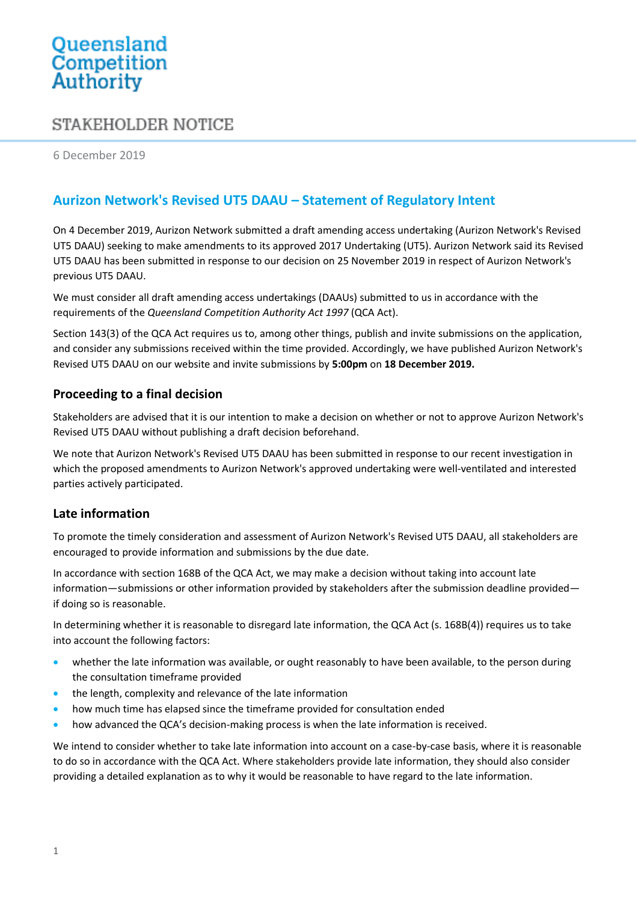# Queensland<br>Competition Authority

## STAKEHOLDER NOTICE

6 December 2019

### **Aurizon Network's Revised UT5 DAAU – Statement of Regulatory Intent**

On 4 December 2019, Aurizon Network submitted a draft amending access undertaking (Aurizon Network's Revised UT5 DAAU) seeking to make amendments to its approved 2017 Undertaking (UT5). Aurizon Network said its Revised UT5 DAAU has been submitted in response to our decision on 25 November 2019 in respect of Aurizon Network's previous UT5 DAAU.

We must consider all draft amending access undertakings (DAAUs) submitted to us in accordance with the requirements of the *Queensland Competition Authority Act 1997* (QCA Act).

Section 143(3) of the QCA Act requires us to, among other things, publish and invite submissions on the application, and consider any submissions received within the time provided. Accordingly, we have published Aurizon Network's Revised UT5 DAAU on our website and invite submissions by **5:00pm** on **18 December 2019.** 

#### **Proceeding to a final decision**

Stakeholders are advised that it is our intention to make a decision on whether or not to approve Aurizon Network's Revised UT5 DAAU without publishing a draft decision beforehand.

We note that Aurizon Network's Revised UT5 DAAU has been submitted in response to our recent investigation in which the proposed amendments to Aurizon Network's approved undertaking were well-ventilated and interested parties actively participated.

#### **Late information**

To promote the timely consideration and assessment of Aurizon Network's Revised UT5 DAAU, all stakeholders are encouraged to provide information and submissions by the due date.

In accordance with section 168B of the QCA Act, we may make a decision without taking into account late information—submissions or other information provided by stakeholders after the submission deadline provided if doing so is reasonable.

In determining whether it is reasonable to disregard late information, the QCA Act (s. 168B(4)) requires us to take into account the following factors:

- whether the late information was available, or ought reasonably to have been available, to the person during the consultation timeframe provided
- the length, complexity and relevance of the late information
- how much time has elapsed since the timeframe provided for consultation ended
- how advanced the QCA's decision-making process is when the late information is received.

We intend to consider whether to take late information into account on a case-by-case basis, where it is reasonable to do so in accordance with the QCA Act. Where stakeholders provide late information, they should also consider providing a detailed explanation as to why it would be reasonable to have regard to the late information.